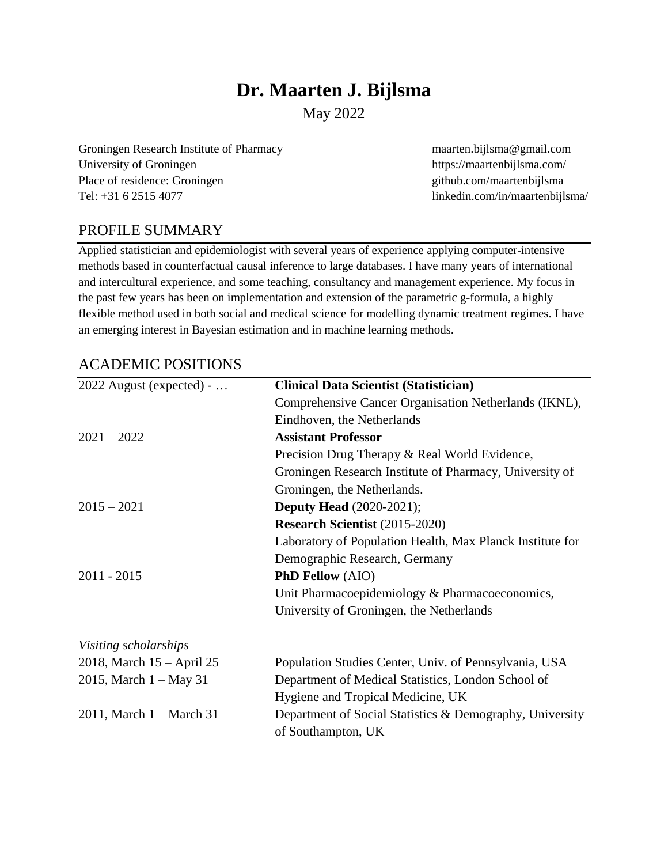# **Dr. Maarten J. Bijlsma**

May 2022

Groningen Research Institute of Pharmacy maarten.bijlsma@gmail.com University of Groningen https://maartenbijlsma.com/ Place of residence: Groningen github.com/maartenbijlsma Tel: +31 6 2515 4077 linkedin.com/in/maartenbijlsma/

# PROFILE SUMMARY

Applied statistician and epidemiologist with several years of experience applying computer-intensive methods based in counterfactual causal inference to large databases. I have many years of international and intercultural experience, and some teaching, consultancy and management experience. My focus in the past few years has been on implementation and extension of the parametric g-formula, a highly flexible method used in both social and medical science for modelling dynamic treatment regimes. I have an emerging interest in Bayesian estimation and in machine learning methods.

# ACADEMIC POSITIONS

| <b>Clinical Data Scientist (Statistician)</b><br>Comprehensive Cancer Organisation Netherlands (IKNL),<br>Eindhoven, the Netherlands<br><b>Assistant Professor</b> |
|--------------------------------------------------------------------------------------------------------------------------------------------------------------------|
|                                                                                                                                                                    |
|                                                                                                                                                                    |
|                                                                                                                                                                    |
|                                                                                                                                                                    |
| Precision Drug Therapy & Real World Evidence,                                                                                                                      |
| Groningen Research Institute of Pharmacy, University of                                                                                                            |
| Groningen, the Netherlands.                                                                                                                                        |
| <b>Deputy Head</b> (2020-2021);                                                                                                                                    |
| <b>Research Scientist (2015-2020)</b>                                                                                                                              |
| Laboratory of Population Health, Max Planck Institute for                                                                                                          |
| Demographic Research, Germany                                                                                                                                      |
| <b>PhD Fellow</b> (AIO)                                                                                                                                            |
| Unit Pharmacoepidemiology & Pharmacoeconomics,                                                                                                                     |
| University of Groningen, the Netherlands                                                                                                                           |
|                                                                                                                                                                    |
| Population Studies Center, Univ. of Pennsylvania, USA                                                                                                              |
| Department of Medical Statistics, London School of                                                                                                                 |
| Hygiene and Tropical Medicine, UK                                                                                                                                  |
| Department of Social Statistics & Demography, University<br>of Southampton, UK                                                                                     |
|                                                                                                                                                                    |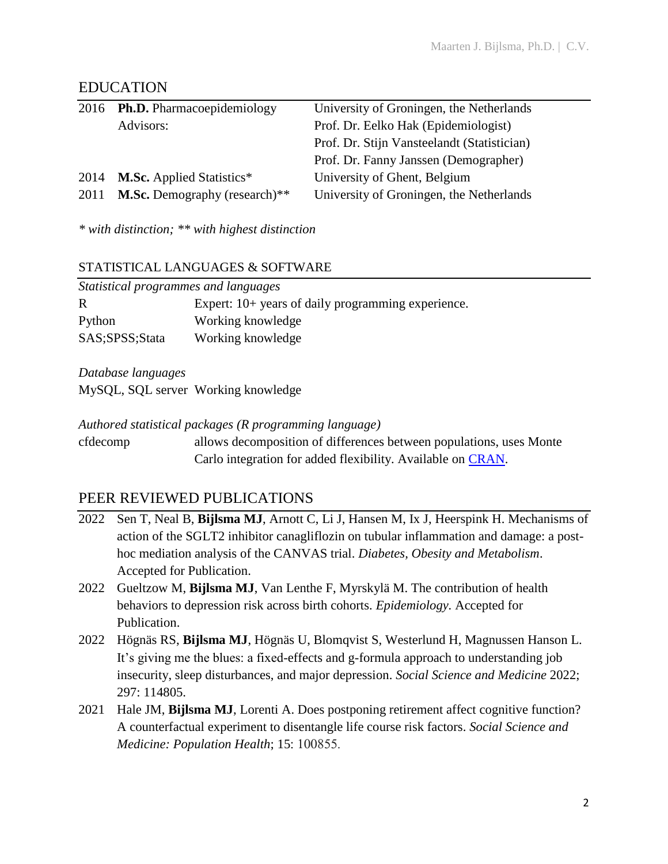# EDUCATION

|      | 2016 Ph.D. Pharmacoepidemiology      | University of Groningen, the Netherlands    |
|------|--------------------------------------|---------------------------------------------|
|      | Advisors:                            | Prof. Dr. Eelko Hak (Epidemiologist)        |
|      |                                      | Prof. Dr. Stijn Vansteelandt (Statistician) |
|      |                                      | Prof. Dr. Fanny Janssen (Demographer)       |
| 2014 | <b>M.Sc.</b> Applied Statistics*     | University of Ghent, Belgium                |
| 2011 | <b>M.Sc.</b> Demography (research)** | University of Groningen, the Netherlands    |

*\* with distinction; \*\* with highest distinction*

#### STATISTICAL LANGUAGES & SOFTWARE

| Statistical programmes and languages |                                                      |  |  |
|--------------------------------------|------------------------------------------------------|--|--|
| R                                    | Expert: $10+$ years of daily programming experience. |  |  |
| Python                               | Working knowledge                                    |  |  |
| SAS;SPSS;Stata                       | Working knowledge                                    |  |  |

*Database languages*

MySQL, SQL server Working knowledge

#### *Authored statistical packages (R programming language)*

cfdecomp allows decomposition of differences between populations, uses Monte Carlo integration for added flexibility. Available on [CRAN.](https://cran.r-project.org/package=cfdecomp)

# PEER REVIEWED PUBLICATIONS

- 2022 Sen T, Neal B, **Bijlsma MJ**, Arnott C, Li J, Hansen M, Ix J, Heerspink H. Mechanisms of action of the SGLT2 inhibitor canagliflozin on tubular inflammation and damage: a posthoc mediation analysis of the CANVAS trial. *Diabetes, Obesity and Metabolism*. Accepted for Publication.
- 2022 Gueltzow M, **Bijlsma MJ**, Van Lenthe F, Myrskylä M. The contribution of health behaviors to depression risk across birth cohorts. *Epidemiology.* Accepted for Publication.
- 2022 Högnäs RS, **Bijlsma MJ**, Högnäs U, Blomqvist S, Westerlund H, Magnussen Hanson L. It's giving me the blues: a fixed-effects and g-formula approach to understanding job insecurity, sleep disturbances, and major depression. *Social Science and Medicine* 2022; 297: 114805.
- 2021 Hale JM, **Bijlsma MJ**, Lorenti A. Does postponing retirement affect cognitive function? A counterfactual experiment to disentangle life course risk factors. *Social Science and Medicine: Population Health*; 15: 100855.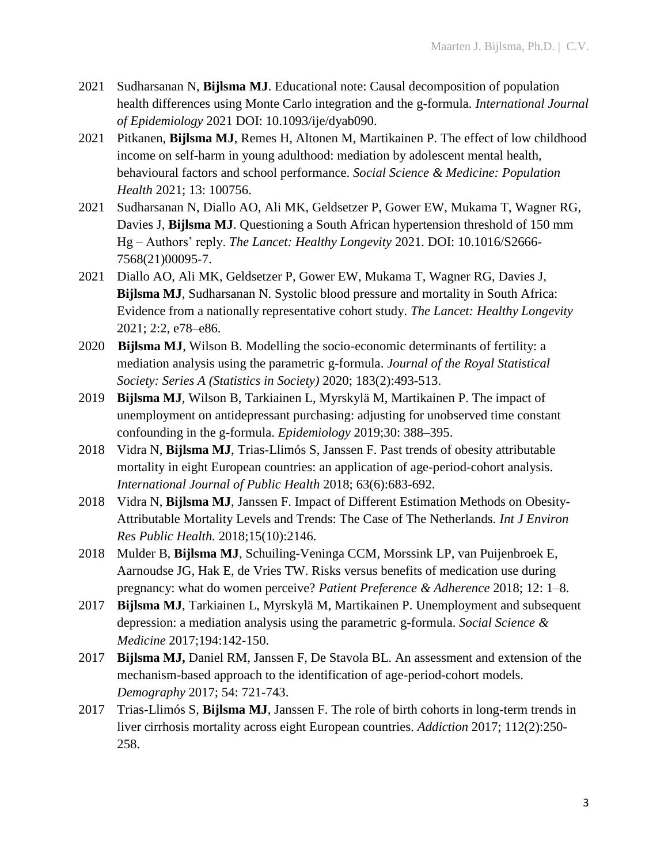- 2021 Sudharsanan N, **Bijlsma MJ**. Educational note: Causal decomposition of population health differences using Monte Carlo integration and the g-formula. *International Journal of Epidemiology* 2021 DOI: 10.1093/ije/dyab090.
- 2021 Pitkanen, **Bijlsma MJ**, Remes H, Altonen M, Martikainen P. The effect of low childhood income on self-harm in young adulthood: mediation by adolescent mental health, behavioural factors and school performance. *Social Science & Medicine: Population Health* 2021; 13: 100756.
- 2021 Sudharsanan N, Diallo AO, Ali MK, Geldsetzer P, Gower EW, Mukama T, Wagner RG, Davies J, **Bijlsma MJ**. Questioning a South African hypertension threshold of 150 mm Hg – Authors' reply. *The Lancet: Healthy Longevity* 2021. DOI: 10.1016/S2666- 7568(21)00095-7.
- 2021 Diallo AO, Ali MK, Geldsetzer P, Gower EW, Mukama T, Wagner RG, Davies J, **Bijlsma MJ**, Sudharsanan N. Systolic blood pressure and mortality in South Africa: Evidence from a nationally representative cohort study. *The Lancet: Healthy Longevity* 2021; 2:2, e78–e86.
- 2020 **Bijlsma MJ**, Wilson B. Modelling the socio-economic determinants of fertility: a mediation analysis using the parametric g-formula. *Journal of the Royal Statistical Society: Series A (Statistics in Society)* 2020; 183(2):493-513.
- 2019 **Bijlsma MJ**, Wilson B, Tarkiainen L, Myrskylä M, Martikainen P. The impact of unemployment on antidepressant purchasing: adjusting for unobserved time constant confounding in the g-formula. *Epidemiology* 2019;30: 388–395.
- 2018 Vidra N, **Bijlsma MJ**, Trias-Llimós S, Janssen F. Past trends of obesity attributable mortality in eight European countries: an application of age-period-cohort analysis. *International Journal of Public Health* 2018; 63(6):683-692.
- 2018 Vidra N, **Bijlsma MJ**, Janssen F. Impact of Different Estimation Methods on Obesity-Attributable Mortality Levels and Trends: The Case of The Netherlands*. Int J Environ Res Public Health.* 2018;15(10):2146.
- 2018 Mulder B, **Bijlsma MJ**, Schuiling-Veninga CCM, Morssink LP, van Puijenbroek E, Aarnoudse JG, Hak E, de Vries TW. Risks versus benefits of medication use during pregnancy: what do women perceive? *Patient Preference & Adherence* 2018; 12: 1–8.
- 2017 **Bijlsma MJ**, Tarkiainen L, Myrskylä M, Martikainen P. Unemployment and subsequent depression: a mediation analysis using the parametric g-formula. *Social Science & Medicine* 2017;194:142-150.
- 2017 **Bijlsma MJ,** Daniel RM, Janssen F, De Stavola BL. An assessment and extension of the mechanism-based approach to the identification of age-period-cohort models. *Demography* 2017; 54: 721-743.
- 2017 Trias-Llimós S, **Bijlsma MJ**, Janssen F. The role of birth cohorts in long-term trends in liver cirrhosis mortality across eight European countries. *Addiction* 2017; 112(2):250- 258.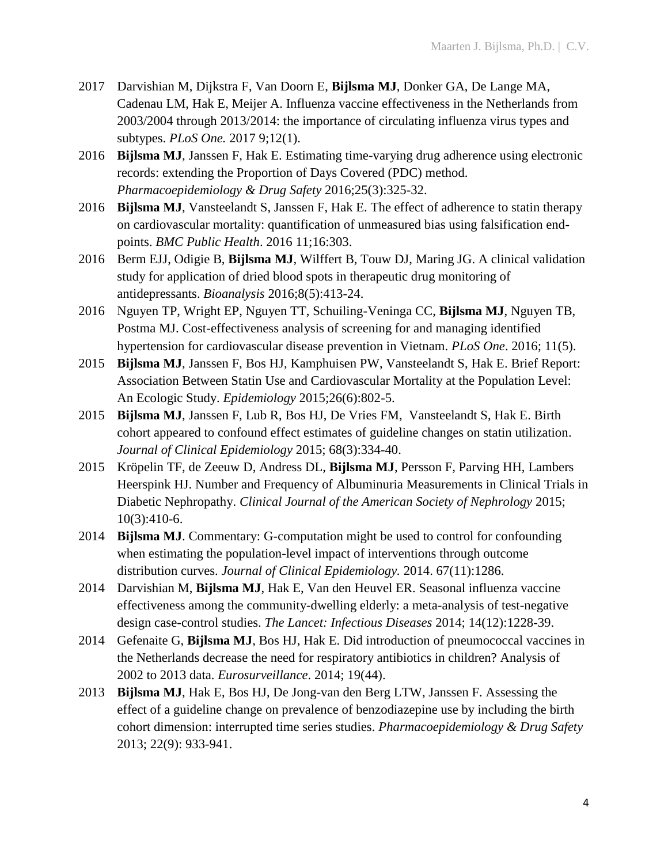- 2017 Darvishian M, Dijkstra F, Van Doorn E, **Bijlsma MJ**, Donker GA, De Lange MA, Cadenau LM, Hak E, Meijer A. Influenza vaccine effectiveness in the Netherlands from 2003/2004 through 2013/2014: the importance of circulating influenza virus types and subtypes. *PLoS One.* 2017 9;12(1).
- 2016 **Bijlsma MJ**, Janssen F, Hak E. Estimating time-varying drug adherence using electronic records: extending the Proportion of Days Covered (PDC) method. *Pharmacoepidemiology & Drug Safety* 2016;25(3):325-32.
- 2016 **Bijlsma MJ**, Vansteelandt S, Janssen F, Hak E. The effect of adherence to statin therapy on cardiovascular mortality: quantification of unmeasured bias using falsification endpoints. *BMC Public Health*. 2016 11;16:303.
- 2016 Berm EJJ, Odigie B, **Bijlsma MJ**, Wilffert B, Touw DJ, Maring JG. A clinical validation study for application of dried blood spots in therapeutic drug monitoring of antidepressants. *Bioanalysis* 2016;8(5):413-24.
- 2016 Nguyen TP, Wright EP, Nguyen TT, Schuiling-Veninga CC, **Bijlsma MJ**, Nguyen TB, Postma MJ. Cost-effectiveness analysis of screening for and managing identified hypertension for cardiovascular disease prevention in Vietnam. *PLoS One*. 2016; 11(5).
- 2015 **Bijlsma MJ**, Janssen F, Bos HJ, Kamphuisen PW, Vansteelandt S, Hak E. Brief Report: Association Between Statin Use and Cardiovascular Mortality at the Population Level: An Ecologic Study. *Epidemiology* 2015;26(6):802-5.
- 2015 **Bijlsma MJ**, Janssen F, Lub R, Bos HJ, De Vries FM, Vansteelandt S, Hak E. Birth cohort appeared to confound effect estimates of guideline changes on statin utilization. *Journal of Clinical Epidemiology* 2015; 68(3):334-40.
- 2015 Kröpelin TF, de Zeeuw D, Andress DL, **Bijlsma MJ**, Persson F, Parving HH, Lambers Heerspink HJ. Number and Frequency of Albuminuria Measurements in Clinical Trials in Diabetic Nephropathy. *Clinical Journal of the American Society of Nephrology* 2015; 10(3):410-6.
- 2014 **Bijlsma MJ**. Commentary: G-computation might be used to control for confounding when estimating the population-level impact of interventions through outcome distribution curves. *Journal of Clinical Epidemiology.* 2014. 67(11):1286.
- 2014 Darvishian M, **Bijlsma MJ**, Hak E, Van den Heuvel ER. Seasonal influenza vaccine effectiveness among the community-dwelling elderly: a meta-analysis of test-negative design case-control studies. *The Lancet: Infectious Diseases* 2014; 14(12):1228-39.
- 2014 Gefenaite G, **Bijlsma MJ**, Bos HJ, Hak E. Did introduction of pneumococcal vaccines in the Netherlands decrease the need for respiratory antibiotics in children? Analysis of 2002 to 2013 data. *Eurosurveillance*. 2014; 19(44).
- 2013 **Bijlsma MJ**, Hak E, Bos HJ, De Jong-van den Berg LTW, Janssen F. Assessing the effect of a guideline change on prevalence of benzodiazepine use by including the birth cohort dimension: interrupted time series studies. *Pharmacoepidemiology & Drug Safety*  2013; 22(9): 933-941.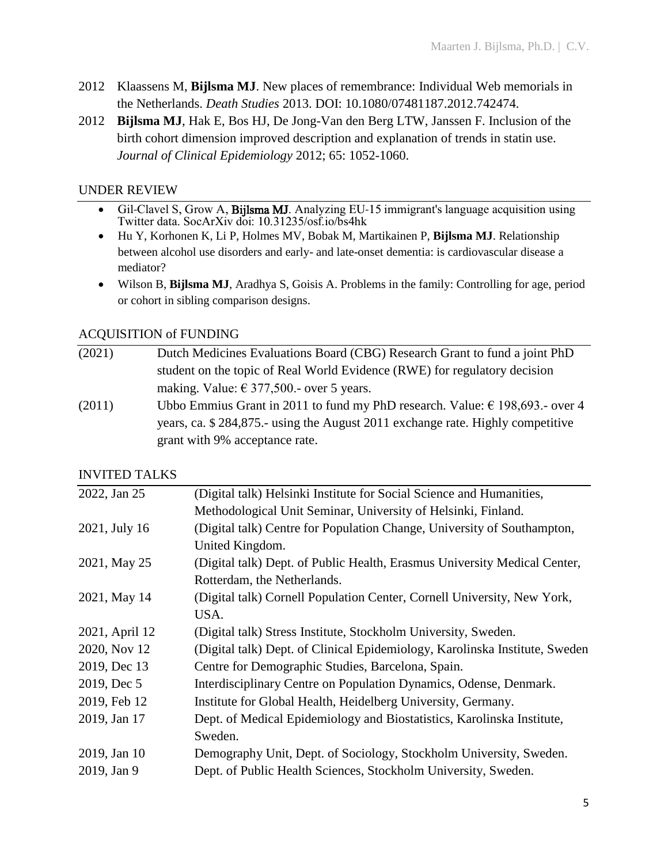- 2012 Klaassens M, **Bijlsma MJ**. New places of remembrance: Individual Web memorials in the Netherlands. *Death Studies* 2013. DOI: 10.1080/07481187.2012.742474.
- 2012 **Bijlsma MJ**, Hak E, Bos HJ, De Jong-Van den Berg LTW, Janssen F. Inclusion of the birth cohort dimension improved description and explanation of trends in statin use. *Journal of Clinical Epidemiology* 2012; 65: 1052-1060.

### UNDER REVIEW

- Gil-Clavel S, Grow A, Bijlsma MJ. Analyzing EU-15 immigrant's language acquisition using Twitter data. SocArXiv doi: 10.31235/osf.io/bs4hk
- Hu Y, Korhonen K, Li P, Holmes MV, Bobak M, Martikainen P, **Bijlsma MJ**. Relationship between alcohol use disorders and early- and late-onset dementia: is cardiovascular disease a mediator?
- Wilson B, **Bijlsma MJ**, Aradhya S, Goisis A. Problems in the family: Controlling for age, period or cohort in sibling comparison designs.

# ACQUISITION of FUNDING

- (2021) Dutch Medicines Evaluations Board (CBG) Research Grant to fund a joint PhD student on the topic of Real World Evidence (RWE) for regulatory decision making. Value:  $\epsilon$  377,500.- over 5 years.
- (2011) Ubbo Emmius Grant in 2011 to fund my PhD research. Value:  $\epsilon$  198,693.- over 4 years, ca. \$ 284,875.- using the August 2011 exchange rate. Highly competitive grant with 9% acceptance rate.

# INVITED TALKS

| 2022, Jan 25   | (Digital talk) Helsinki Institute for Social Science and Humanities,        |
|----------------|-----------------------------------------------------------------------------|
|                | Methodological Unit Seminar, University of Helsinki, Finland.               |
| 2021, July 16  | (Digital talk) Centre for Population Change, University of Southampton,     |
|                | United Kingdom.                                                             |
| 2021, May 25   | (Digital talk) Dept. of Public Health, Erasmus University Medical Center,   |
|                | Rotterdam, the Netherlands.                                                 |
| 2021, May 14   | (Digital talk) Cornell Population Center, Cornell University, New York,     |
|                | USA.                                                                        |
| 2021, April 12 | (Digital talk) Stress Institute, Stockholm University, Sweden.              |
| 2020, Nov 12   | (Digital talk) Dept. of Clinical Epidemiology, Karolinska Institute, Sweden |
| 2019, Dec 13   | Centre for Demographic Studies, Barcelona, Spain.                           |
| 2019, Dec 5    | Interdisciplinary Centre on Population Dynamics, Odense, Denmark.           |
| 2019, Feb 12   | Institute for Global Health, Heidelberg University, Germany.                |
| 2019, Jan 17   | Dept. of Medical Epidemiology and Biostatistics, Karolinska Institute,      |
|                | Sweden.                                                                     |
| 2019, Jan 10   | Demography Unit, Dept. of Sociology, Stockholm University, Sweden.          |
| 2019, Jan 9    | Dept. of Public Health Sciences, Stockholm University, Sweden.              |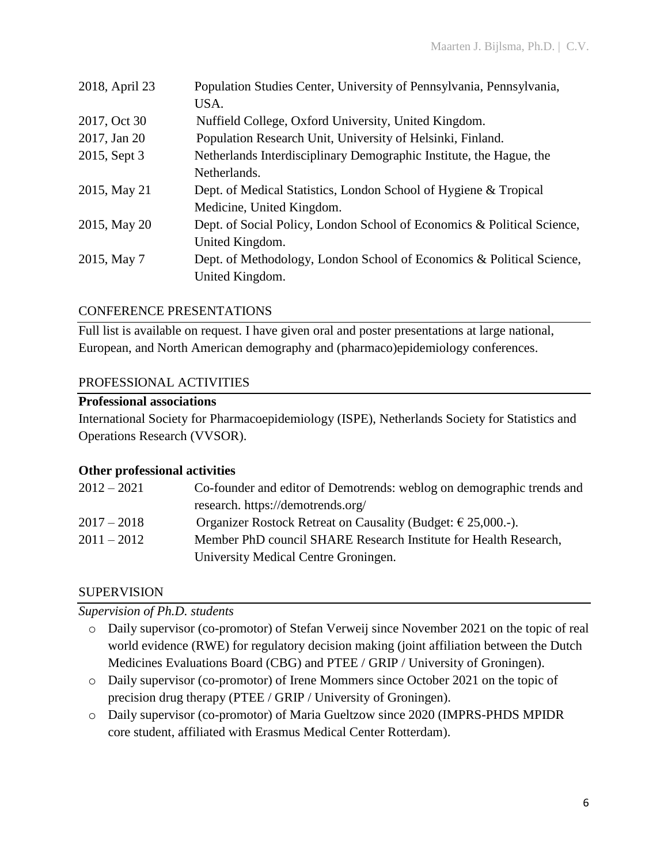| Population Studies Center, University of Pennsylvania, Pennsylvania,    |
|-------------------------------------------------------------------------|
| USA.                                                                    |
| Nuffield College, Oxford University, United Kingdom.                    |
| Population Research Unit, University of Helsinki, Finland.              |
| Netherlands Interdisciplinary Demographic Institute, the Hague, the     |
| Netherlands.                                                            |
| Dept. of Medical Statistics, London School of Hygiene & Tropical        |
| Medicine, United Kingdom.                                               |
| Dept. of Social Policy, London School of Economics & Political Science, |
| United Kingdom.                                                         |
| Dept. of Methodology, London School of Economics & Political Science,   |
| United Kingdom.                                                         |
|                                                                         |

#### CONFERENCE PRESENTATIONS

Full list is available on request. I have given oral and poster presentations at large national, European, and North American demography and (pharmaco)epidemiology conferences.

#### PROFESSIONAL ACTIVITIES

#### **Professional associations**

International Society for Pharmacoepidemiology (ISPE), Netherlands Society for Statistics and Operations Research (VVSOR).

#### **Other professional activities**

| $2012 - 2021$ | Co-founder and editor of Demotrends: weblog on demographic trends and |
|---------------|-----------------------------------------------------------------------|
|               | research. https://demotrends.org/                                     |
| $2017 - 2018$ | Organizer Rostock Retreat on Causality (Budget: $\epsilon$ 25,000.-). |
| $2011 - 2012$ | Member PhD council SHARE Research Institute for Health Research,      |
|               | University Medical Centre Groningen.                                  |

#### SUPERVISION

*Supervision of Ph.D. students*

- o Daily supervisor (co-promotor) of Stefan Verweij since November 2021 on the topic of real world evidence (RWE) for regulatory decision making (joint affiliation between the Dutch Medicines Evaluations Board (CBG) and PTEE / GRIP / University of Groningen).
- o Daily supervisor (co-promotor) of Irene Mommers since October 2021 on the topic of precision drug therapy (PTEE / GRIP / University of Groningen).
- o Daily supervisor (co-promotor) of Maria Gueltzow since 2020 (IMPRS-PHDS MPIDR core student, affiliated with Erasmus Medical Center Rotterdam).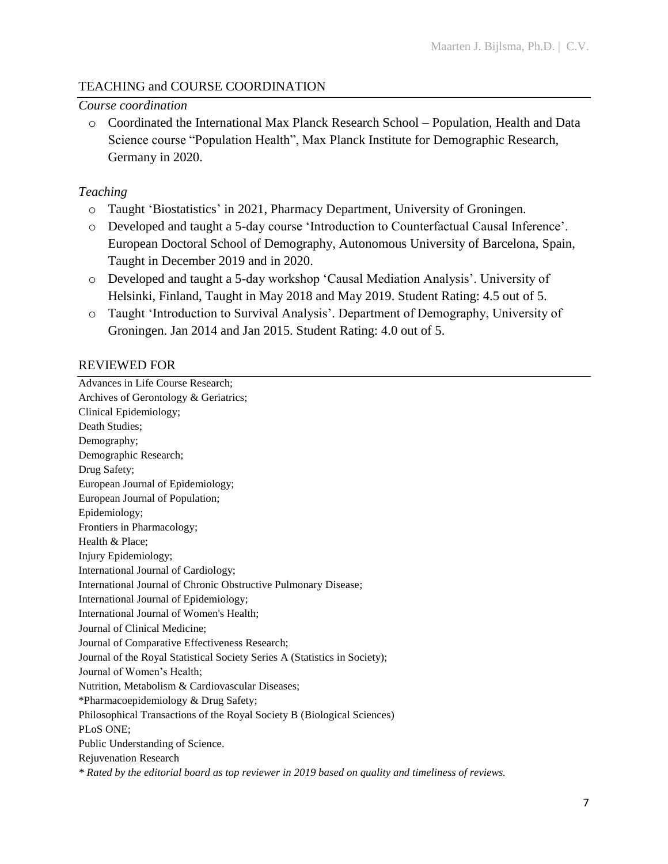# TEACHING and COURSE COORDINATION

#### *Course coordination*

o Coordinated the International Max Planck Research School – Population, Health and Data Science course "Population Health", Max Planck Institute for Demographic Research, Germany in 2020.

#### *Teaching*

- o Taught 'Biostatistics' in 2021, Pharmacy Department, University of Groningen.
- o Developed and taught a 5-day course 'Introduction to Counterfactual Causal Inference'. European Doctoral School of Demography, Autonomous University of Barcelona, Spain, Taught in December 2019 and in 2020.
- o Developed and taught a 5-day workshop 'Causal Mediation Analysis'. University of Helsinki, Finland, Taught in May 2018 and May 2019. Student Rating: 4.5 out of 5.
- o Taught 'Introduction to Survival Analysis'. Department of Demography, University of Groningen. Jan 2014 and Jan 2015. Student Rating: 4.0 out of 5.

### REVIEWED FOR

Advances in Life Course Research; Archives of Gerontology & Geriatrics; Clinical Epidemiology; Death Studies; Demography; Demographic Research; Drug Safety; European Journal of Epidemiology; European Journal of Population; Epidemiology; Frontiers in Pharmacology; Health & Place; Injury Epidemiology; International Journal of Cardiology; International Journal of Chronic Obstructive Pulmonary Disease; International Journal of Epidemiology; International Journal of Women's Health; Journal of Clinical Medicine; Journal of Comparative Effectiveness Research; Journal of the Royal Statistical Society Series A (Statistics in Society); Journal of Women's Health; Nutrition, Metabolism & Cardiovascular Diseases; \*Pharmacoepidemiology & Drug Safety; Philosophical Transactions of the Royal Society B (Biological Sciences) PLoS ONE; Public Understanding of Science. Rejuvenation Research *\* Rated by the editorial board as top reviewer in 2019 based on quality and timeliness of reviews.*